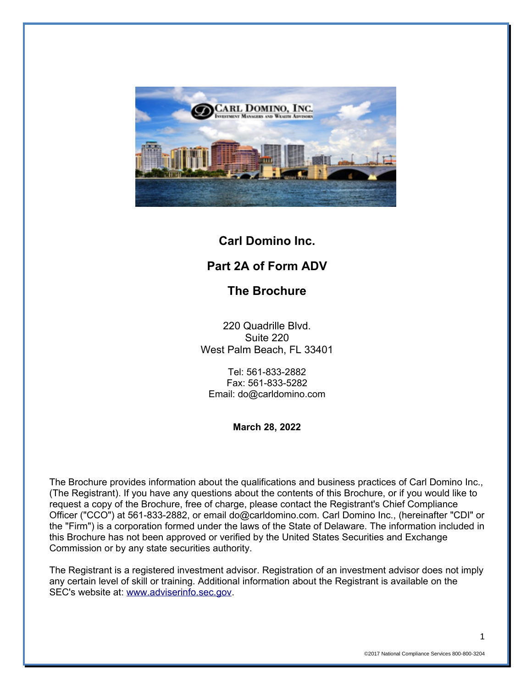

# **Carl Domino Inc.**

# **Part 2A of Form ADV**

# **The Brochure**

220 Quadrille Blvd. Suite 220 West Palm Beach, FL 33401

Tel: 561-833-2882 Fax: 561-833-5282 Email: do@carldomino.com

**March 28, 2022**

The Brochure provides information about the qualifications and business practices of Carl Domino Inc., (The Registrant). If you have any questions about the contents of this Brochure, or if you would like to request a copy of the Brochure, free of charge, please contact the Registrant's Chief Compliance Officer ("CCO") at 561-833-2882, or email do@carldomino.com. Carl Domino Inc., (hereinafter "CDI" or the "Firm") is a corporation formed under the laws of the State of Delaware. The information included in this Brochure has not been approved or verified by the United States Securities and Exchange Commission or by any state securities authority.

The Registrant is a registered investment advisor. Registration of an investment advisor does not imply any certain level of skill or training. Additional information about the Registrant is available on the SEC's website at: [www.adviserinfo.sec.gov.](http://www.adviserinfo.sec.gov/)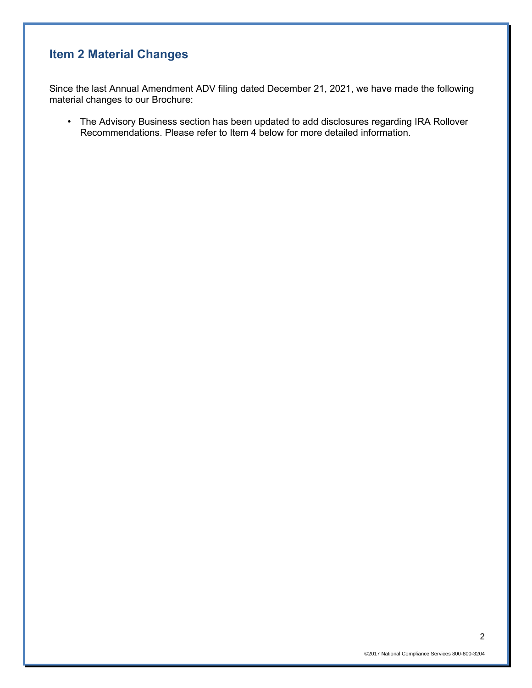# **Item 2 Material Changes**

Since the last Annual Amendment ADV filing dated December 21, 2021, we have made the following material changes to our Brochure:

• The Advisory Business section has been updated to add disclosures regarding IRA Rollover Recommendations. Please refer to Item 4 below for more detailed information.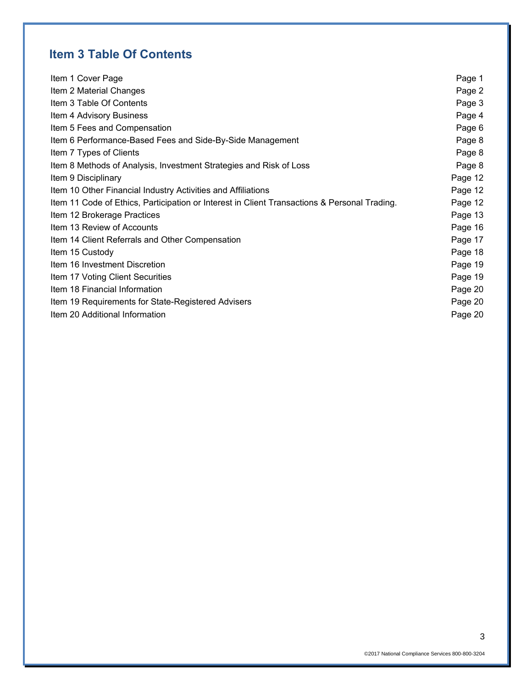# **Item 3 Table Of Contents**

| Item 1 Cover Page                                                                            | Page 1  |
|----------------------------------------------------------------------------------------------|---------|
| Item 2 Material Changes                                                                      | Page 2  |
| Item 3 Table Of Contents                                                                     | Page 3  |
| Item 4 Advisory Business                                                                     | Page 4  |
| Item 5 Fees and Compensation                                                                 | Page 6  |
| Item 6 Performance-Based Fees and Side-By-Side Management                                    | Page 8  |
| Item 7 Types of Clients                                                                      | Page 8  |
| Item 8 Methods of Analysis, Investment Strategies and Risk of Loss                           | Page 8  |
| Item 9 Disciplinary                                                                          | Page 12 |
| Item 10 Other Financial Industry Activities and Affiliations                                 | Page 12 |
| Item 11 Code of Ethics, Participation or Interest in Client Transactions & Personal Trading. | Page 12 |
| Item 12 Brokerage Practices                                                                  | Page 13 |
| Item 13 Review of Accounts                                                                   | Page 16 |
| Item 14 Client Referrals and Other Compensation                                              | Page 17 |
| Item 15 Custody                                                                              | Page 18 |
| Item 16 Investment Discretion                                                                | Page 19 |
| Item 17 Voting Client Securities                                                             | Page 19 |
| Item 18 Financial Information                                                                | Page 20 |
| Item 19 Requirements for State-Registered Advisers                                           | Page 20 |
| Item 20 Additional Information                                                               | Page 20 |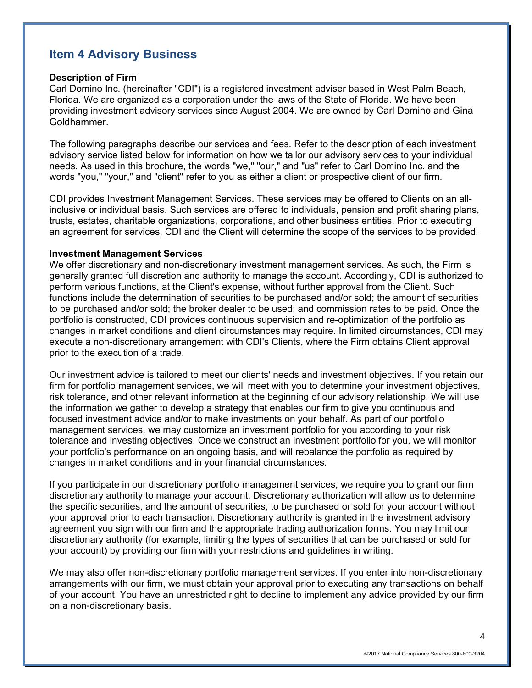# **Item 4 Advisory Business**

#### **Description of Firm**

Carl Domino Inc. (hereinafter "CDI") is a registered investment adviser based in West Palm Beach, Florida. We are organized as a corporation under the laws of the State of Florida. We have been providing investment advisory services since August 2004. We are owned by Carl Domino and Gina Goldhammer.

The following paragraphs describe our services and fees. Refer to the description of each investment advisory service listed below for information on how we tailor our advisory services to your individual needs. As used in this brochure, the words "we," "our," and "us" refer to Carl Domino Inc. and the words "you," "your," and "client" refer to you as either a client or prospective client of our firm.

CDI provides Investment Management Services. These services may be offered to Clients on an allinclusive or individual basis. Such services are offered to individuals, pension and profit sharing plans, trusts, estates, charitable organizations, corporations, and other business entities. Prior to executing an agreement for services, CDI and the Client will determine the scope of the services to be provided.

#### **Investment Management Services**

We offer discretionary and non-discretionary investment management services. As such, the Firm is generally granted full discretion and authority to manage the account. Accordingly, CDI is authorized to perform various functions, at the Client's expense, without further approval from the Client. Such functions include the determination of securities to be purchased and/or sold; the amount of securities to be purchased and/or sold; the broker dealer to be used; and commission rates to be paid. Once the portfolio is constructed, CDI provides continuous supervision and re-optimization of the portfolio as changes in market conditions and client circumstances may require. In limited circumstances, CDI may execute a non-discretionary arrangement with CDI's Clients, where the Firm obtains Client approval prior to the execution of a trade.

Our investment advice is tailored to meet our clients' needs and investment objectives. If you retain our firm for portfolio management services, we will meet with you to determine your investment objectives, risk tolerance, and other relevant information at the beginning of our advisory relationship. We will use the information we gather to develop a strategy that enables our firm to give you continuous and focused investment advice and/or to make investments on your behalf. As part of our portfolio management services, we may customize an investment portfolio for you according to your risk tolerance and investing objectives. Once we construct an investment portfolio for you, we will monitor your portfolio's performance on an ongoing basis, and will rebalance the portfolio as required by changes in market conditions and in your financial circumstances.

If you participate in our discretionary portfolio management services, we require you to grant our firm discretionary authority to manage your account. Discretionary authorization will allow us to determine the specific securities, and the amount of securities, to be purchased or sold for your account without your approval prior to each transaction. Discretionary authority is granted in the investment advisory agreement you sign with our firm and the appropriate trading authorization forms. You may limit our discretionary authority (for example, limiting the types of securities that can be purchased or sold for your account) by providing our firm with your restrictions and guidelines in writing.

We may also offer non-discretionary portfolio management services. If you enter into non-discretionary arrangements with our firm, we must obtain your approval prior to executing any transactions on behalf of your account. You have an unrestricted right to decline to implement any advice provided by our firm on a non-discretionary basis.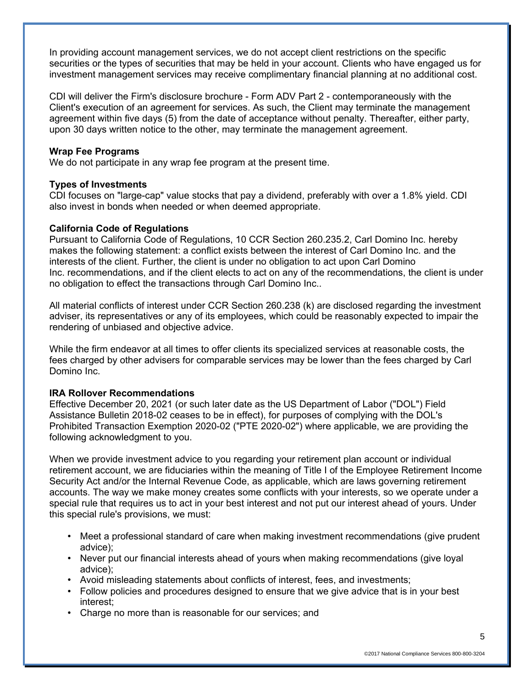In providing account management services, we do not accept client restrictions on the specific securities or the types of securities that may be held in your account. Clients who have engaged us for investment management services may receive complimentary financial planning at no additional cost.

CDI will deliver the Firm's disclosure brochure - Form ADV Part 2 - contemporaneously with the Client's execution of an agreement for services. As such, the Client may terminate the management agreement within five days (5) from the date of acceptance without penalty. Thereafter, either party, upon 30 days written notice to the other, may terminate the management agreement.

### **Wrap Fee Programs**

We do not participate in any wrap fee program at the present time.

### **Types of Investments**

CDI focuses on "large-cap" value stocks that pay a dividend, preferably with over a 1.8% yield. CDI also invest in bonds when needed or when deemed appropriate.

### **California Code of Regulations**

Pursuant to California Code of Regulations, 10 CCR Section 260.235.2, Carl Domino Inc. hereby makes the following statement: a conflict exists between the interest of Carl Domino Inc. and the interests of the client. Further, the client is under no obligation to act upon Carl Domino Inc. recommendations, and if the client elects to act on any of the recommendations, the client is under no obligation to effect the transactions through Carl Domino Inc..

All material conflicts of interest under CCR Section 260.238 (k) are disclosed regarding the investment adviser, its representatives or any of its employees, which could be reasonably expected to impair the rendering of unbiased and objective advice.

While the firm endeavor at all times to offer clients its specialized services at reasonable costs, the fees charged by other advisers for comparable services may be lower than the fees charged by Carl Domino Inc.

#### **IRA Rollover Recommendations**

Effective December 20, 2021 (or such later date as the US Department of Labor ("DOL") Field Assistance Bulletin 2018-02 ceases to be in effect), for purposes of complying with the DOL's Prohibited Transaction Exemption 2020-02 ("PTE 2020-02") where applicable, we are providing the following acknowledgment to you.

When we provide investment advice to you regarding your retirement plan account or individual retirement account, we are fiduciaries within the meaning of Title I of the Employee Retirement Income Security Act and/or the Internal Revenue Code, as applicable, which are laws governing retirement accounts. The way we make money creates some conflicts with your interests, so we operate under a special rule that requires us to act in your best interest and not put our interest ahead of yours. Under this special rule's provisions, we must:

- Meet a professional standard of care when making investment recommendations (give prudent advice);
- Never put our financial interests ahead of yours when making recommendations (give loyal advice);
- Avoid misleading statements about conflicts of interest, fees, and investments;
- Follow policies and procedures designed to ensure that we give advice that is in your best interest;
- Charge no more than is reasonable for our services; and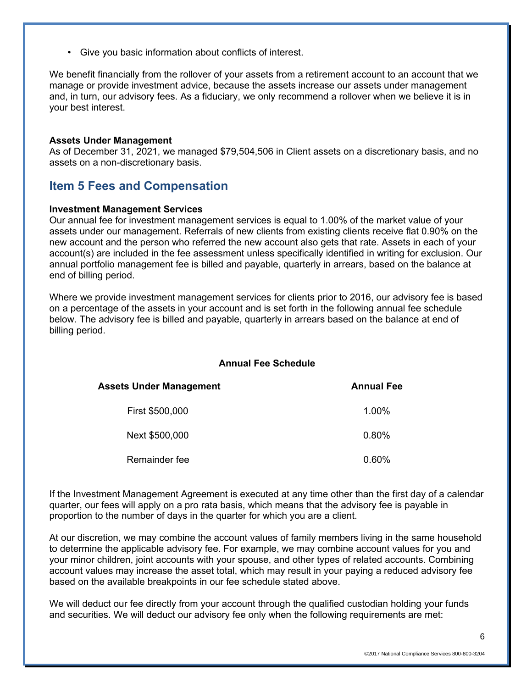• Give you basic information about conflicts of interest.

We benefit financially from the rollover of your assets from a retirement account to an account that we manage or provide investment advice, because the assets increase our assets under management and, in turn, our advisory fees. As a fiduciary, we only recommend a rollover when we believe it is in your best interest.

#### **Assets Under Management**

As of December 31, 2021, we managed \$79,504,506 in Client assets on a discretionary basis, and no assets on a non-discretionary basis.

## **Item 5 Fees and Compensation**

#### **Investment Management Services**

Our annual fee for investment management services is equal to 1.00% of the market value of your assets under our management. Referrals of new clients from existing clients receive flat 0.90% on the new account and the person who referred the new account also gets that rate. Assets in each of your account(s) are included in the fee assessment unless specifically identified in writing for exclusion. Our annual portfolio management fee is billed and payable, quarterly in arrears, based on the balance at end of billing period.

Where we provide investment management services for clients prior to 2016, our advisory fee is based on a percentage of the assets in your account and is set forth in the following annual fee schedule below. The advisory fee is billed and payable, quarterly in arrears based on the balance at end of billing period.

### **Annual Fee Schedule**

| Assets Under Management | <b>Annual Fee</b> |
|-------------------------|-------------------|
| First \$500,000         | 1.00%             |
| Next \$500,000          | $0.80\%$          |
| Remainder fee           | 0.60%             |

If the Investment Management Agreement is executed at any time other than the first day of a calendar quarter, our fees will apply on a pro rata basis, which means that the advisory fee is payable in proportion to the number of days in the quarter for which you are a client.

At our discretion, we may combine the account values of family members living in the same household to determine the applicable advisory fee. For example, we may combine account values for you and your minor children, joint accounts with your spouse, and other types of related accounts. Combining account values may increase the asset total, which may result in your paying a reduced advisory fee based on the available breakpoints in our fee schedule stated above.

We will deduct our fee directly from your account through the qualified custodian holding your funds and securities. We will deduct our advisory fee only when the following requirements are met: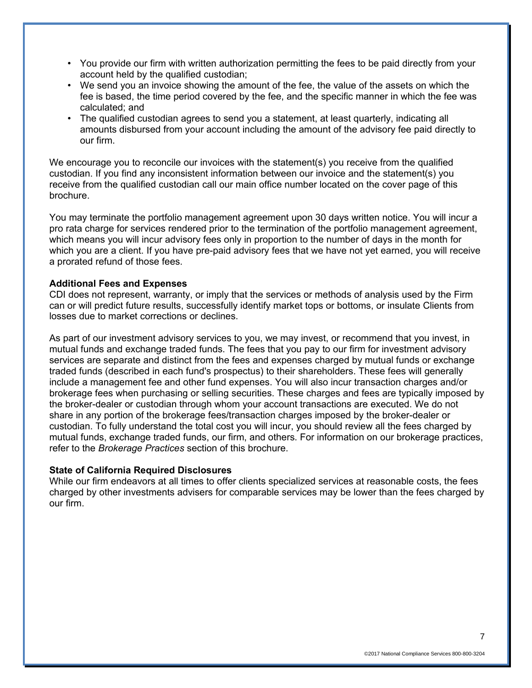- You provide our firm with written authorization permitting the fees to be paid directly from your account held by the qualified custodian;
- We send you an invoice showing the amount of the fee, the value of the assets on which the fee is based, the time period covered by the fee, and the specific manner in which the fee was calculated; and
- The qualified custodian agrees to send you a statement, at least quarterly, indicating all amounts disbursed from your account including the amount of the advisory fee paid directly to our firm.

We encourage you to reconcile our invoices with the statement(s) you receive from the qualified custodian. If you find any inconsistent information between our invoice and the statement(s) you receive from the qualified custodian call our main office number located on the cover page of this brochure.

You may terminate the portfolio management agreement upon 30 days written notice. You will incur a pro rata charge for services rendered prior to the termination of the portfolio management agreement, which means you will incur advisory fees only in proportion to the number of days in the month for which you are a client. If you have pre-paid advisory fees that we have not yet earned, you will receive a prorated refund of those fees.

### **Additional Fees and Expenses**

CDI does not represent, warranty, or imply that the services or methods of analysis used by the Firm can or will predict future results, successfully identify market tops or bottoms, or insulate Clients from losses due to market corrections or declines.

As part of our investment advisory services to you, we may invest, or recommend that you invest, in mutual funds and exchange traded funds. The fees that you pay to our firm for investment advisory services are separate and distinct from the fees and expenses charged by mutual funds or exchange traded funds (described in each fund's prospectus) to their shareholders. These fees will generally include a management fee and other fund expenses. You will also incur transaction charges and/or brokerage fees when purchasing or selling securities. These charges and fees are typically imposed by the broker-dealer or custodian through whom your account transactions are executed. We do not share in any portion of the brokerage fees/transaction charges imposed by the broker-dealer or custodian. To fully understand the total cost you will incur, you should review all the fees charged by mutual funds, exchange traded funds, our firm, and others. For information on our brokerage practices, refer to the *Brokerage Practices* section of this brochure.

#### **State of California Required Disclosures**

While our firm endeavors at all times to offer clients specialized services at reasonable costs, the fees charged by other investments advisers for comparable services may be lower than the fees charged by our firm.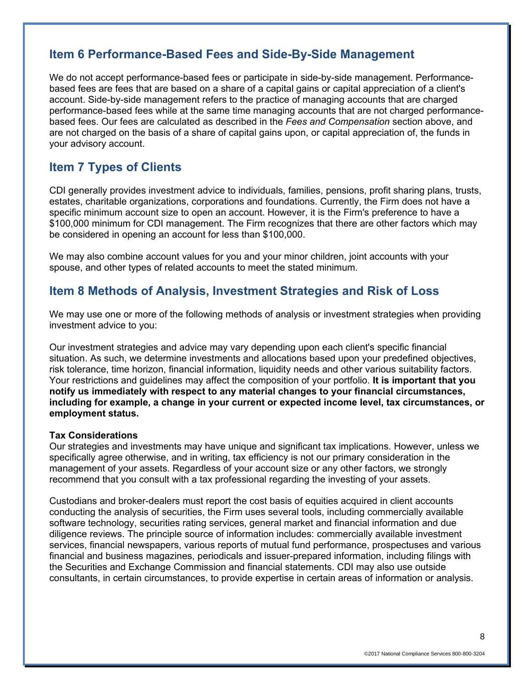# **Item 6 Performance-Based Fees and Side-By-Side Management**

We do not accept performance-based fees or participate in side-by-side management. Performancebased fees are fees that are based on a share of a capital gains or capital appreciation of a client's account. Side-by-side management refers to the practice of managing accounts that are charged performance-based fees while at the same time managing accounts that are not charged performancebased fees. Our fees are calculated as described in the *Fees and Compensation* section above, and are not charged on the basis of a share of capital gains upon, or capital appreciation of, the funds in your advisory account.

# **Item 7 Types of Clients**

CDI generally provides investment advice to individuals, families, pensions, profit sharing plans, trusts, estates, charitable organizations, corporations and foundations. Currently, the Firm does not have a specific minimum account size to open an account. However, it is the Firm's preference to have a \$100,000 minimum for CDI management. The Firm recognizes that there are other factors which may be considered in opening an account for less than \$100,000.

We may also combine account values for you and your minor children, joint accounts with your spouse, and other types of related accounts to meet the stated minimum.

## **Item 8 Methods of Analysis, Investment Strategies and Risk of Loss**

We may use one or more of the following methods of analysis or investment strategies when providing investment advice to you:

Our investment strategies and advice may vary depending upon each client's specific financial situation. As such, we determine investments and allocations based upon your predefined objectives, risk tolerance, time horizon, financial information, liquidity needs and other various suitability factors. Your restrictions and guidelines may affect the composition of your portfolio. **It is important that you notify us immediately with respect to any material changes to your financial circumstances, including for example, a change in your current or expected income level, tax circumstances, or employment status.**

## **Tax Considerations**

Our strategies and investments may have unique and significant tax implications. However, unless we specifically agree otherwise, and in writing, tax efficiency is not our primary consideration in the management of your assets. Regardless of your account size or any other factors, we strongly recommend that you consult with a tax professional regarding the investing of your assets.

Custodians and broker-dealers must report the cost basis of equities acquired in client accounts conducting the analysis of securities, the Firm uses several tools, including commercially available software technology, securities rating services, general market and financial information and due diligence reviews. The principle source of information includes: commercially available investment services, financial newspapers, various reports of mutual fund performance, prospectuses and various financial and business magazines, periodicals and issuer-prepared information, including filings with the Securities and Exchange Commission and financial statements. CDI may also use outside consultants, in certain circumstances, to provide expertise in certain areas of information or analysis.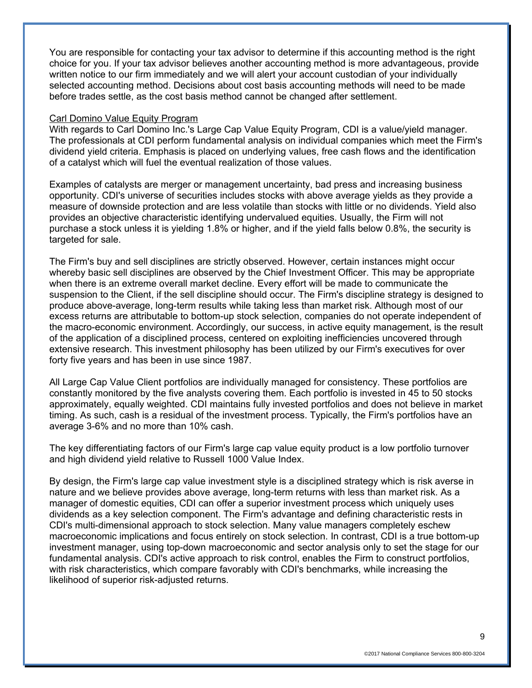You are responsible for contacting your tax advisor to determine if this accounting method is the right choice for you. If your tax advisor believes another accounting method is more advantageous, provide written notice to our firm immediately and we will alert your account custodian of your individually selected accounting method. Decisions about cost basis accounting methods will need to be made before trades settle, as the cost basis method cannot be changed after settlement.

#### Carl Domino Value Equity Program

With regards to Carl Domino Inc.'s Large Cap Value Equity Program, CDI is a value/yield manager. The professionals at CDI perform fundamental analysis on individual companies which meet the Firm's dividend yield criteria. Emphasis is placed on underlying values, free cash flows and the identification of a catalyst which will fuel the eventual realization of those values.

Examples of catalysts are merger or management uncertainty, bad press and increasing business opportunity. CDI's universe of securities includes stocks with above average yields as they provide a measure of downside protection and are less volatile than stocks with little or no dividends. Yield also provides an objective characteristic identifying undervalued equities. Usually, the Firm will not purchase a stock unless it is yielding 1.8% or higher, and if the yield falls below 0.8%, the security is targeted for sale.

The Firm's buy and sell disciplines are strictly observed. However, certain instances might occur whereby basic sell disciplines are observed by the Chief Investment Officer. This may be appropriate when there is an extreme overall market decline. Every effort will be made to communicate the suspension to the Client, if the sell discipline should occur. The Firm's discipline strategy is designed to produce above-average, long-term results while taking less than market risk. Although most of our excess returns are attributable to bottom-up stock selection, companies do not operate independent of the macro-economic environment. Accordingly, our success, in active equity management, is the result of the application of a disciplined process, centered on exploiting inefficiencies uncovered through extensive research. This investment philosophy has been utilized by our Firm's executives for over forty five years and has been in use since 1987.

All Large Cap Value Client portfolios are individually managed for consistency. These portfolios are constantly monitored by the five analysts covering them. Each portfolio is invested in 45 to 50 stocks approximately, equally weighted. CDI maintains fully invested portfolios and does not believe in market timing. As such, cash is a residual of the investment process. Typically, the Firm's portfolios have an average 3-6% and no more than 10% cash.

The key differentiating factors of our Firm's large cap value equity product is a low portfolio turnover and high dividend yield relative to Russell 1000 Value Index.

By design, the Firm's large cap value investment style is a disciplined strategy which is risk averse in nature and we believe provides above average, long-term returns with less than market risk. As a manager of domestic equities, CDI can offer a superior investment process which uniquely uses dividends as a key selection component. The Firm's advantage and defining characteristic rests in CDI's multi-dimensional approach to stock selection. Many value managers completely eschew macroeconomic implications and focus entirely on stock selection. In contrast, CDI is a true bottom-up investment manager, using top-down macroeconomic and sector analysis only to set the stage for our fundamental analysis. CDI's active approach to risk control, enables the Firm to construct portfolios, with risk characteristics, which compare favorably with CDI's benchmarks, while increasing the likelihood of superior risk-adjusted returns.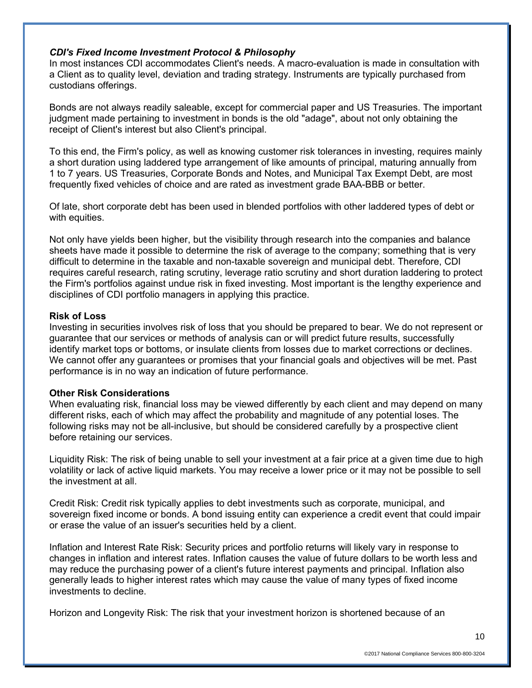## *CDI's Fixed Income Investment Protocol & Philosophy*

In most instances CDI accommodates Client's needs. A macro-evaluation is made in consultation with a Client as to quality level, deviation and trading strategy. Instruments are typically purchased from custodians offerings.

Bonds are not always readily saleable, except for commercial paper and US Treasuries. The important judgment made pertaining to investment in bonds is the old "adage", about not only obtaining the receipt of Client's interest but also Client's principal.

To this end, the Firm's policy, as well as knowing customer risk tolerances in investing, requires mainly a short duration using laddered type arrangement of like amounts of principal, maturing annually from 1 to 7 years. US Treasuries, Corporate Bonds and Notes, and Municipal Tax Exempt Debt, are most frequently fixed vehicles of choice and are rated as investment grade BAA-BBB or better.

Of late, short corporate debt has been used in blended portfolios with other laddered types of debt or with equities.

Not only have yields been higher, but the visibility through research into the companies and balance sheets have made it possible to determine the risk of average to the company; something that is very difficult to determine in the taxable and non-taxable sovereign and municipal debt. Therefore, CDI requires careful research, rating scrutiny, leverage ratio scrutiny and short duration laddering to protect the Firm's portfolios against undue risk in fixed investing. Most important is the lengthy experience and disciplines of CDI portfolio managers in applying this practice.

#### **Risk of Loss**

Investing in securities involves risk of loss that you should be prepared to bear. We do not represent or guarantee that our services or methods of analysis can or will predict future results, successfully identify market tops or bottoms, or insulate clients from losses due to market corrections or declines. We cannot offer any guarantees or promises that your financial goals and objectives will be met. Past performance is in no way an indication of future performance.

#### **Other Risk Considerations**

When evaluating risk, financial loss may be viewed differently by each client and may depend on many different risks, each of which may affect the probability and magnitude of any potential loses. The following risks may not be all-inclusive, but should be considered carefully by a prospective client before retaining our services.

Liquidity Risk: The risk of being unable to sell your investment at a fair price at a given time due to high volatility or lack of active liquid markets. You may receive a lower price or it may not be possible to sell the investment at all.

Credit Risk: Credit risk typically applies to debt investments such as corporate, municipal, and sovereign fixed income or bonds. A bond issuing entity can experience a credit event that could impair or erase the value of an issuer's securities held by a client.

Inflation and Interest Rate Risk: Security prices and portfolio returns will likely vary in response to changes in inflation and interest rates. Inflation causes the value of future dollars to be worth less and may reduce the purchasing power of a client's future interest payments and principal. Inflation also generally leads to higher interest rates which may cause the value of many types of fixed income investments to decline.

Horizon and Longevity Risk: The risk that your investment horizon is shortened because of an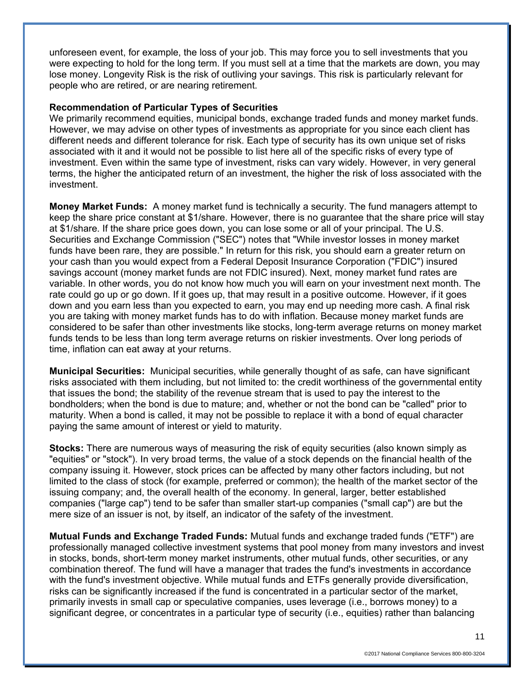unforeseen event, for example, the loss of your job. This may force you to sell investments that you were expecting to hold for the long term. If you must sell at a time that the markets are down, you may lose money. Longevity Risk is the risk of outliving your savings. This risk is particularly relevant for people who are retired, or are nearing retirement.

#### **Recommendation of Particular Types of Securities**

We primarily recommend equities, municipal bonds, exchange traded funds and money market funds. However, we may advise on other types of investments as appropriate for you since each client has different needs and different tolerance for risk. Each type of security has its own unique set of risks associated with it and it would not be possible to list here all of the specific risks of every type of investment. Even within the same type of investment, risks can vary widely. However, in very general terms, the higher the anticipated return of an investment, the higher the risk of loss associated with the investment.

**Money Market Funds:** A money market fund is technically a security. The fund managers attempt to keep the share price constant at \$1/share. However, there is no guarantee that the share price will stay at \$1/share. If the share price goes down, you can lose some or all of your principal. The U.S. Securities and Exchange Commission ("SEC") notes that "While investor losses in money market funds have been rare, they are possible." In return for this risk, you should earn a greater return on your cash than you would expect from a Federal Deposit Insurance Corporation ("FDIC") insured savings account (money market funds are not FDIC insured). Next, money market fund rates are variable. In other words, you do not know how much you will earn on your investment next month. The rate could go up or go down. If it goes up, that may result in a positive outcome. However, if it goes down and you earn less than you expected to earn, you may end up needing more cash. A final risk you are taking with money market funds has to do with inflation. Because money market funds are considered to be safer than other investments like stocks, long-term average returns on money market funds tends to be less than long term average returns on riskier investments. Over long periods of time, inflation can eat away at your returns.

**Municipal Securities:** Municipal securities, while generally thought of as safe, can have significant risks associated with them including, but not limited to: the credit worthiness of the governmental entity that issues the bond; the stability of the revenue stream that is used to pay the interest to the bondholders; when the bond is due to mature; and, whether or not the bond can be "called" prior to maturity. When a bond is called, it may not be possible to replace it with a bond of equal character paying the same amount of interest or yield to maturity.

**Stocks:** There are numerous ways of measuring the risk of equity securities (also known simply as "equities" or "stock"). In very broad terms, the value of a stock depends on the financial health of the company issuing it. However, stock prices can be affected by many other factors including, but not limited to the class of stock (for example, preferred or common); the health of the market sector of the issuing company; and, the overall health of the economy. In general, larger, better established companies ("large cap") tend to be safer than smaller start-up companies ("small cap") are but the mere size of an issuer is not, by itself, an indicator of the safety of the investment.

**Mutual Funds and Exchange Traded Funds:** Mutual funds and exchange traded funds ("ETF") are professionally managed collective investment systems that pool money from many investors and invest in stocks, bonds, short-term money market instruments, other mutual funds, other securities, or any combination thereof. The fund will have a manager that trades the fund's investments in accordance with the fund's investment objective. While mutual funds and ETFs generally provide diversification, risks can be significantly increased if the fund is concentrated in a particular sector of the market, primarily invests in small cap or speculative companies, uses leverage (i.e., borrows money) to a significant degree, or concentrates in a particular type of security (i.e., equities) rather than balancing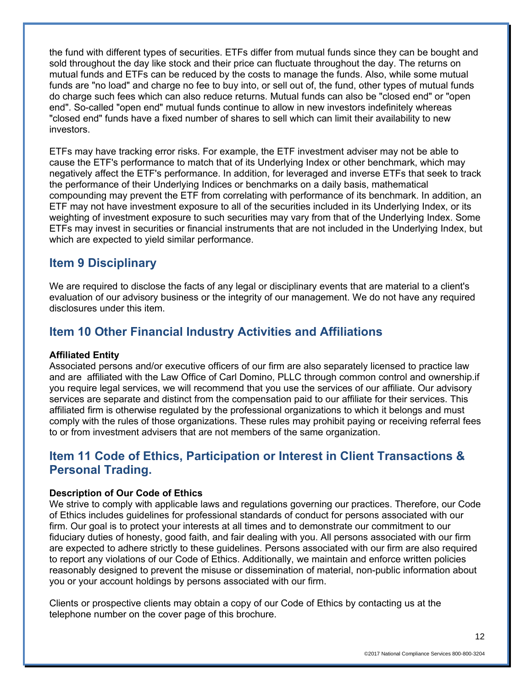the fund with different types of securities. ETFs differ from mutual funds since they can be bought and sold throughout the day like stock and their price can fluctuate throughout the day. The returns on mutual funds and ETFs can be reduced by the costs to manage the funds. Also, while some mutual funds are "no load" and charge no fee to buy into, or sell out of, the fund, other types of mutual funds do charge such fees which can also reduce returns. Mutual funds can also be "closed end" or "open end". So-called "open end" mutual funds continue to allow in new investors indefinitely whereas "closed end" funds have a fixed number of shares to sell which can limit their availability to new investors.

ETFs may have tracking error risks. For example, the ETF investment adviser may not be able to cause the ETF's performance to match that of its Underlying Index or other benchmark, which may negatively affect the ETF's performance. In addition, for leveraged and inverse ETFs that seek to track the performance of their Underlying Indices or benchmarks on a daily basis, mathematical compounding may prevent the ETF from correlating with performance of its benchmark. In addition, an ETF may not have investment exposure to all of the securities included in its Underlying Index, or its weighting of investment exposure to such securities may vary from that of the Underlying Index. Some ETFs may invest in securities or financial instruments that are not included in the Underlying Index, but which are expected to yield similar performance.

## **Item 9 Disciplinary**

We are required to disclose the facts of any legal or disciplinary events that are material to a client's evaluation of our advisory business or the integrity of our management. We do not have any required disclosures under this item.

# **Item 10 Other Financial Industry Activities and Affiliations**

## **Affiliated Entity**

Associated persons and/or executive officers of our firm are also separately licensed to practice law and are affiliated with the Law Office of Carl Domino, PLLC through common control and ownership.if you require legal services, we will recommend that you use the services of our affiliate. Our advisory services are separate and distinct from the compensation paid to our affiliate for their services. This affiliated firm is otherwise regulated by the professional organizations to which it belongs and must comply with the rules of those organizations. These rules may prohibit paying or receiving referral fees to or from investment advisers that are not members of the same organization.

# **Item 11 Code of Ethics, Participation or Interest in Client Transactions & Personal Trading.**

## **Description of Our Code of Ethics**

We strive to comply with applicable laws and regulations governing our practices. Therefore, our Code of Ethics includes guidelines for professional standards of conduct for persons associated with our firm. Our goal is to protect your interests at all times and to demonstrate our commitment to our fiduciary duties of honesty, good faith, and fair dealing with you. All persons associated with our firm are expected to adhere strictly to these guidelines. Persons associated with our firm are also required to report any violations of our Code of Ethics. Additionally, we maintain and enforce written policies reasonably designed to prevent the misuse or dissemination of material, non-public information about you or your account holdings by persons associated with our firm.

Clients or prospective clients may obtain a copy of our Code of Ethics by contacting us at the telephone number on the cover page of this brochure.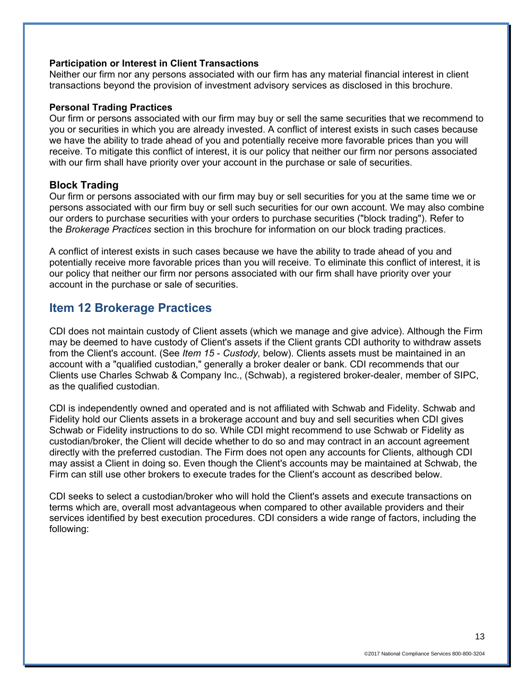#### **Participation or Interest in Client Transactions**

Neither our firm nor any persons associated with our firm has any material financial interest in client transactions beyond the provision of investment advisory services as disclosed in this brochure.

### **Personal Trading Practices**

Our firm or persons associated with our firm may buy or sell the same securities that we recommend to you or securities in which you are already invested. A conflict of interest exists in such cases because we have the ability to trade ahead of you and potentially receive more favorable prices than you will receive. To mitigate this conflict of interest, it is our policy that neither our firm nor persons associated with our firm shall have priority over your account in the purchase or sale of securities.

## **Block Trading**

Our firm or persons associated with our firm may buy or sell securities for you at the same time we or persons associated with our firm buy or sell such securities for our own account. We may also combine our orders to purchase securities with your orders to purchase securities ("block trading"). Refer to the *Brokerage Practices* section in this brochure for information on our block trading practices.

A conflict of interest exists in such cases because we have the ability to trade ahead of you and potentially receive more favorable prices than you will receive. To eliminate this conflict of interest, it is our policy that neither our firm nor persons associated with our firm shall have priority over your account in the purchase or sale of securities.

## **Item 12 Brokerage Practices**

CDI does not maintain custody of Client assets (which we manage and give advice). Although the Firm may be deemed to have custody of Client's assets if the Client grants CDI authority to withdraw assets from the Client's account. (See *Item 15* - *Custody,* below). Clients assets must be maintained in an account with a "qualified custodian," generally a broker dealer or bank. CDI recommends that our Clients use Charles Schwab & Company Inc., (Schwab), a registered broker-dealer, member of SIPC, as the qualified custodian.

CDI is independently owned and operated and is not affiliated with Schwab and Fidelity. Schwab and Fidelity hold our Clients assets in a brokerage account and buy and sell securities when CDI gives Schwab or Fidelity instructions to do so. While CDI might recommend to use Schwab or Fidelity as custodian/broker, the Client will decide whether to do so and may contract in an account agreement directly with the preferred custodian. The Firm does not open any accounts for Clients, although CDI may assist a Client in doing so. Even though the Client's accounts may be maintained at Schwab, the Firm can still use other brokers to execute trades for the Client's account as described below.

CDI seeks to select a custodian/broker who will hold the Client's assets and execute transactions on terms which are, overall most advantageous when compared to other available providers and their services identified by best execution procedures. CDI considers a wide range of factors, including the following:

13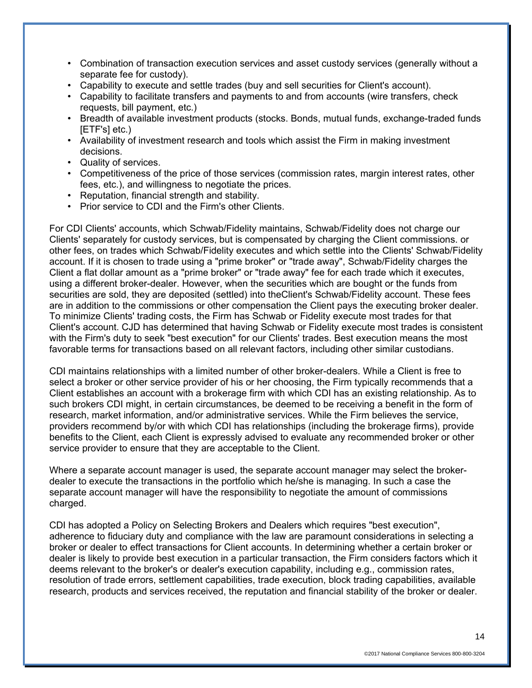- Combination of transaction execution services and asset custody services (generally without a separate fee for custody).
- Capability to execute and settle trades (buy and sell securities for Client's account).
- Capability to facilitate transfers and payments to and from accounts (wire transfers, check requests, bill payment, etc.)
- Breadth of available investment products (stocks. Bonds, mutual funds, exchange-traded funds [ETF's] etc.)
- Availability of investment research and tools which assist the Firm in making investment decisions.
- Quality of services.
- Competitiveness of the price of those services (commission rates, margin interest rates, other fees, etc.), and willingness to negotiate the prices.
- Reputation, financial strength and stability.
- Prior service to CDI and the Firm's other Clients.

For CDI Clients' accounts, which Schwab/Fidelity maintains, Schwab/Fidelity does not charge our Clients' separately for custody services, but is compensated by charging the Client commissions. or other fees, on trades which Schwab/Fidelity executes and which settle into the Clients' Schwab/Fidelity account. If it is chosen to trade using a "prime broker" or "trade away", Schwab/Fidelity charges the Client a flat dollar amount as a "prime broker" or "trade away" fee for each trade which it executes, using a different broker-dealer. However, when the securities which are bought or the funds from securities are sold, they are deposited (settled) into theClient's Schwab/Fidelity account. These fees are in addition to the commissions or other compensation the Client pays the executing broker dealer. To minimize Clients' trading costs, the Firm has Schwab or Fidelity execute most trades for that Client's account. CJD has determined that having Schwab or Fidelity execute most trades is consistent with the Firm's duty to seek "best execution" for our Clients' trades. Best execution means the most favorable terms for transactions based on all relevant factors, including other similar custodians.

CDI maintains relationships with a limited number of other broker-dealers. While a Client is free to select a broker or other service provider of his or her choosing, the Firm typically recommends that a Client establishes an account with a brokerage firm with which CDI has an existing relationship. As to such brokers CDI might, in certain circumstances, be deemed to be receiving a benefit in the form of research, market information, and/or administrative services. While the Firm believes the service, providers recommend by/or with which CDI has relationships (including the brokerage firms), provide benefits to the Client, each Client is expressly advised to evaluate any recommended broker or other service provider to ensure that they are acceptable to the Client.

Where a separate account manager is used, the separate account manager may select the brokerdealer to execute the transactions in the portfolio which he/she is managing. In such a case the separate account manager will have the responsibility to negotiate the amount of commissions charged.

CDI has adopted a Policy on Selecting Brokers and Dealers which requires "best execution", adherence to fiduciary duty and compliance with the law are paramount considerations in selecting a broker or dealer to effect transactions for Client accounts. In determining whether a certain broker or dealer is likely to provide best execution in a particular transaction, the Firm considers factors which it deems relevant to the broker's or dealer's execution capability, including e.g., commission rates, resolution of trade errors, settlement capabilities, trade execution, block trading capabilities, available research, products and services received, the reputation and financial stability of the broker or dealer.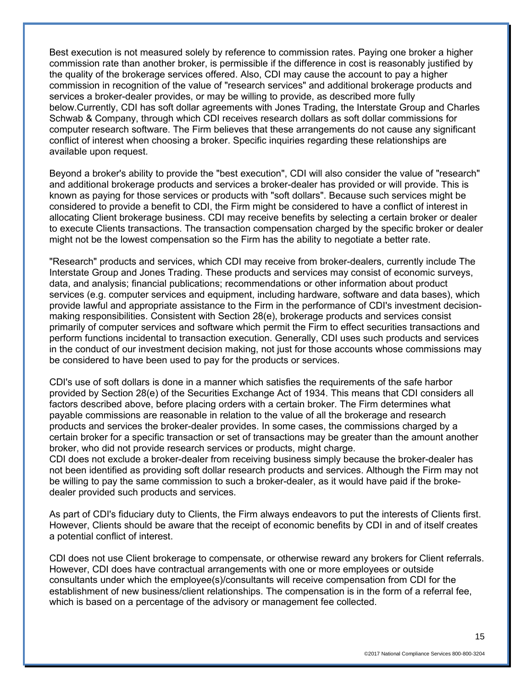Best execution is not measured solely by reference to commission rates. Paying one broker a higher commission rate than another broker, is permissible if the difference in cost is reasonably justified by the quality of the brokerage services offered. Also, CDI may cause the account to pay a higher commission in recognition of the value of "research services" and additional brokerage products and services a broker-dealer provides, or may be willing to provide, as described more fully below.Currently, CDI has soft dollar agreements with Jones Trading, the Interstate Group and Charles Schwab & Company, through which CDI receives research dollars as soft dollar commissions for computer research software. The Firm believes that these arrangements do not cause any significant conflict of interest when choosing a broker. Specific inquiries regarding these relationships are available upon request.

Beyond a broker's ability to provide the "best execution", CDI will also consider the value of "research" and additional brokerage products and services a broker-dealer has provided or will provide. This is known as paying for those services or products with "soft dollars". Because such services might be considered to provide a benefit to CDI, the Firm might be considered to have a conflict of interest in allocating Client brokerage business. CDI may receive benefits by selecting a certain broker or dealer to execute Clients transactions. The transaction compensation charged by the specific broker or dealer might not be the lowest compensation so the Firm has the ability to negotiate a better rate.

"Research" products and services, which CDI may receive from broker-dealers, currently include The Interstate Group and Jones Trading. These products and services may consist of economic surveys, data, and analysis; financial publications; recommendations or other information about product services (e.g. computer services and equipment, including hardware, software and data bases), which provide lawful and appropriate assistance to the Firm in the performance of CDI's investment decisionmaking responsibilities. Consistent with Section 28(e), brokerage products and services consist primarily of computer services and software which permit the Firm to effect securities transactions and perform functions incidental to transaction execution. Generally, CDI uses such products and services in the conduct of our investment decision making, not just for those accounts whose commissions may be considered to have been used to pay for the products or services.

CDI's use of soft dollars is done in a manner which satisfies the requirements of the safe harbor provided by Section 28(e) of the Securities Exchange Act of 1934. This means that CDI considers all factors described above, before placing orders with a certain broker. The Firm determines what payable commissions are reasonable in relation to the value of all the brokerage and research products and services the broker-dealer provides. In some cases, the commissions charged by a certain broker for a specific transaction or set of transactions may be greater than the amount another broker, who did not provide research services or products, might charge.

CDI does not exclude a broker-dealer from receiving business simply because the broker-dealer has not been identified as providing soft dollar research products and services. Although the Firm may not be willing to pay the same commission to such a broker-dealer, as it would have paid if the brokedealer provided such products and services.

As part of CDI's fiduciary duty to Clients, the Firm always endeavors to put the interests of Clients first. However, Clients should be aware that the receipt of economic benefits by CDI in and of itself creates a potential conflict of interest.

CDI does not use Client brokerage to compensate, or otherwise reward any brokers for Client referrals. However, CDI does have contractual arrangements with one or more employees or outside consultants under which the employee(s)/consultants will receive compensation from CDI for the establishment of new business/client relationships. The compensation is in the form of a referral fee, which is based on a percentage of the advisory or management fee collected.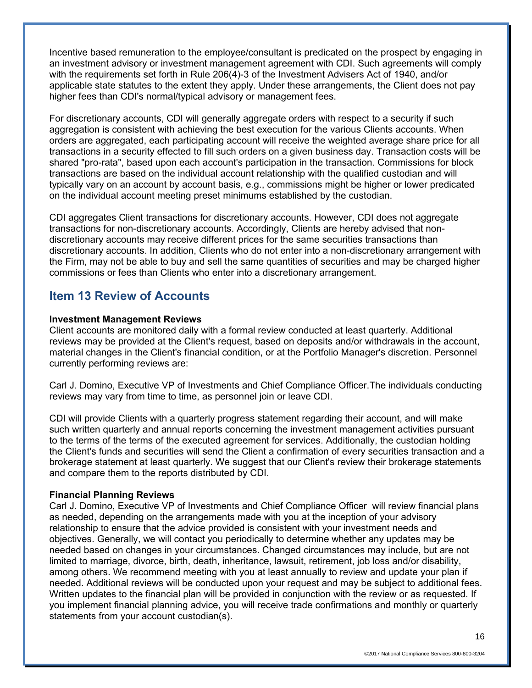Incentive based remuneration to the employee/consultant is predicated on the prospect by engaging in an investment advisory or investment management agreement with CDI. Such agreements will comply with the requirements set forth in Rule 206(4)-3 of the Investment Advisers Act of 1940, and/or applicable state statutes to the extent they apply. Under these arrangements, the Client does not pay higher fees than CDI's normal/typical advisory or management fees.

For discretionary accounts, CDI will generally aggregate orders with respect to a security if such aggregation is consistent with achieving the best execution for the various Clients accounts. When orders are aggregated, each participating account will receive the weighted average share price for all transactions in a security effected to fill such orders on a given business day. Transaction costs will be shared "pro-rata", based upon each account's participation in the transaction. Commissions for block transactions are based on the individual account relationship with the qualified custodian and will typically vary on an account by account basis, e.g., commissions might be higher or lower predicated on the individual account meeting preset minimums established by the custodian.

CDI aggregates Client transactions for discretionary accounts. However, CDI does not aggregate transactions for non-discretionary accounts. Accordingly, Clients are hereby advised that nondiscretionary accounts may receive different prices for the same securities transactions than discretionary accounts. In addition, Clients who do not enter into a non-discretionary arrangement with the Firm, may not be able to buy and sell the same quantities of securities and may be charged higher commissions or fees than Clients who enter into a discretionary arrangement.

## **Item 13 Review of Accounts**

## **Investment Management Reviews**

Client accounts are monitored daily with a formal review conducted at least quarterly. Additional reviews may be provided at the Client's request, based on deposits and/or withdrawals in the account, material changes in the Client's financial condition, or at the Portfolio Manager's discretion. Personnel currently performing reviews are:

Carl J. Domino, Executive VP of Investments and Chief Compliance Officer.The individuals conducting reviews may vary from time to time, as personnel join or leave CDI.

CDI will provide Clients with a quarterly progress statement regarding their account, and will make such written quarterly and annual reports concerning the investment management activities pursuant to the terms of the terms of the executed agreement for services. Additionally, the custodian holding the Client's funds and securities will send the Client a confirmation of every securities transaction and a brokerage statement at least quarterly. We suggest that our Client's review their brokerage statements and compare them to the reports distributed by CDI.

## **Financial Planning Reviews**

Carl J. Domino, Executive VP of Investments and Chief Compliance Officer will review financial plans as needed, depending on the arrangements made with you at the inception of your advisory relationship to ensure that the advice provided is consistent with your investment needs and objectives. Generally, we will contact you periodically to determine whether any updates may be needed based on changes in your circumstances. Changed circumstances may include, but are not limited to marriage, divorce, birth, death, inheritance, lawsuit, retirement, job loss and/or disability, among others. We recommend meeting with you at least annually to review and update your plan if needed. Additional reviews will be conducted upon your request and may be subject to additional fees. Written updates to the financial plan will be provided in conjunction with the review or as requested. If you implement financial planning advice, you will receive trade confirmations and monthly or quarterly statements from your account custodian(s).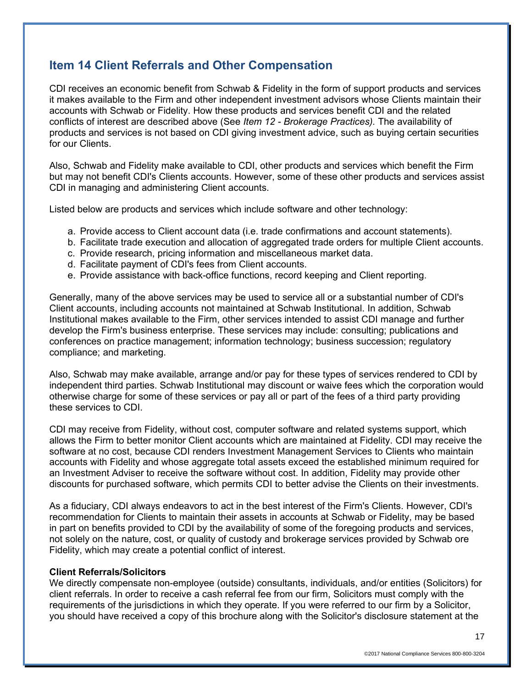# **Item 14 Client Referrals and Other Compensation**

CDI receives an economic benefit from Schwab & Fidelity in the form of support products and services it makes available to the Firm and other independent investment advisors whose Clients maintain their accounts with Schwab or Fidelity. How these products and services benefit CDI and the related conflicts of interest are described above (See *Item 12 - Brokerage Practices).* The availability of products and services is not based on CDI giving investment advice, such as buying certain securities for our Clients.

Also, Schwab and Fidelity make available to CDI, other products and services which benefit the Firm but may not benefit CDI's Clients accounts. However, some of these other products and services assist CDI in managing and administering Client accounts.

Listed below are products and services which include software and other technology:

- a. Provide access to Client account data (i.e. trade confirmations and account statements).
- b. Facilitate trade execution and allocation of aggregated trade orders for multiple Client accounts.
- c. Provide research, pricing information and miscellaneous market data.
- d. Facilitate payment of CDI's fees from Client accounts.
- e. Provide assistance with back-office functions, record keeping and Client reporting.

Generally, many of the above services may be used to service all or a substantial number of CDI's Client accounts, including accounts not maintained at Schwab Institutional. In addition, Schwab Institutional makes available to the Firm, other services intended to assist CDI manage and further develop the Firm's business enterprise. These services may include: consulting; publications and conferences on practice management; information technology; business succession; regulatory compliance; and marketing.

Also, Schwab may make available, arrange and/or pay for these types of services rendered to CDI by independent third parties. Schwab Institutional may discount or waive fees which the corporation would otherwise charge for some of these services or pay all or part of the fees of a third party providing these services to CDI.

CDI may receive from Fidelity, without cost, computer software and related systems support, which allows the Firm to better monitor Client accounts which are maintained at Fidelity. CDI may receive the software at no cost, because CDI renders Investment Management Services to Clients who maintain accounts with Fidelity and whose aggregate total assets exceed the established minimum required for an Investment Adviser to receive the software without cost. In addition, Fidelity may provide other discounts for purchased software, which permits CDI to better advise the Clients on their investments.

As a fiduciary, CDI always endeavors to act in the best interest of the Firm's Clients. However, CDI's recommendation for Clients to maintain their assets in accounts at Schwab or Fidelity, may be based in part on benefits provided to CDI by the availability of some of the foregoing products and services, not solely on the nature, cost, or quality of custody and brokerage services provided by Schwab ore Fidelity, which may create a potential conflict of interest.

#### **Client Referrals/Solicitors**

We directly compensate non-employee (outside) consultants, individuals, and/or entities (Solicitors) for client referrals. In order to receive a cash referral fee from our firm, Solicitors must comply with the requirements of the jurisdictions in which they operate. If you were referred to our firm by a Solicitor, you should have received a copy of this brochure along with the Solicitor's disclosure statement at the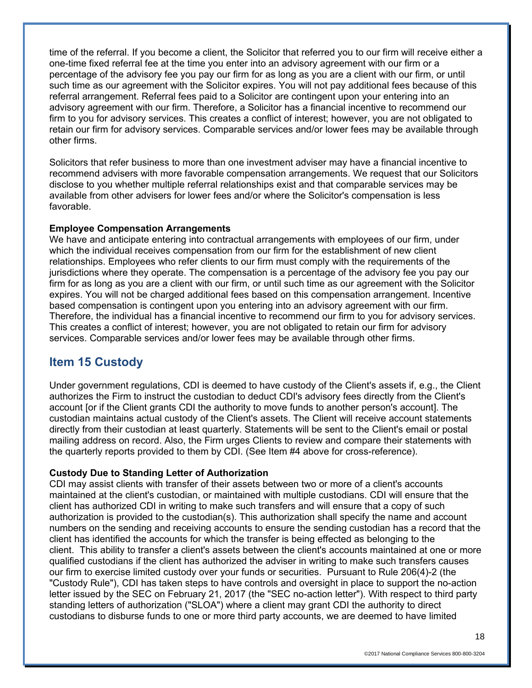time of the referral. If you become a client, the Solicitor that referred you to our firm will receive either a one-time fixed referral fee at the time you enter into an advisory agreement with our firm or a percentage of the advisory fee you pay our firm for as long as you are a client with our firm, or until such time as our agreement with the Solicitor expires. You will not pay additional fees because of this referral arrangement. Referral fees paid to a Solicitor are contingent upon your entering into an advisory agreement with our firm. Therefore, a Solicitor has a financial incentive to recommend our firm to you for advisory services. This creates a conflict of interest; however, you are not obligated to retain our firm for advisory services. Comparable services and/or lower fees may be available through other firms.

Solicitors that refer business to more than one investment adviser may have a financial incentive to recommend advisers with more favorable compensation arrangements. We request that our Solicitors disclose to you whether multiple referral relationships exist and that comparable services may be available from other advisers for lower fees and/or where the Solicitor's compensation is less favorable.

#### **Employee Compensation Arrangements**

We have and anticipate entering into contractual arrangements with employees of our firm, under which the individual receives compensation from our firm for the establishment of new client relationships. Employees who refer clients to our firm must comply with the requirements of the jurisdictions where they operate. The compensation is a percentage of the advisory fee you pay our firm for as long as you are a client with our firm, or until such time as our agreement with the Solicitor expires. You will not be charged additional fees based on this compensation arrangement. Incentive based compensation is contingent upon you entering into an advisory agreement with our firm. Therefore, the individual has a financial incentive to recommend our firm to you for advisory services. This creates a conflict of interest; however, you are not obligated to retain our firm for advisory services. Comparable services and/or lower fees may be available through other firms.

## **Item 15 Custody**

Under government regulations, CDI is deemed to have custody of the Client's assets if, e.g., the Client authorizes the Firm to instruct the custodian to deduct CDI's advisory fees directly from the Client's account [or if the Client grants CDI the authority to move funds to another person's account]. The custodian maintains actual custody of the Client's assets. The Client will receive account statements directly from their custodian at least quarterly. Statements will be sent to the Client's email or postal mailing address on record. Also, the Firm urges Clients to review and compare their statements with the quarterly reports provided to them by CDI. (See Item #4 above for cross-reference).

## **Custody Due to Standing Letter of Authorization**

CDI may assist clients with transfer of their assets between two or more of a client's accounts maintained at the client's custodian, or maintained with multiple custodians. CDI will ensure that the client has authorized CDI in writing to make such transfers and will ensure that a copy of such authorization is provided to the custodian(s). This authorization shall specify the name and account numbers on the sending and receiving accounts to ensure the sending custodian has a record that the client has identified the accounts for which the transfer is being effected as belonging to the client. This ability to transfer a client's assets between the client's accounts maintained at one or more qualified custodians if the client has authorized the adviser in writing to make such transfers causes our firm to exercise limited custody over your funds or securities. Pursuant to Rule 206(4)-2 (the "Custody Rule"), CDI has taken steps to have controls and oversight in place to support the no-action letter issued by the SEC on February 21, 2017 (the "SEC no-action letter"). With respect to third party standing letters of authorization ("SLOA") where a client may grant CDI the authority to direct custodians to disburse funds to one or more third party accounts, we are deemed to have limited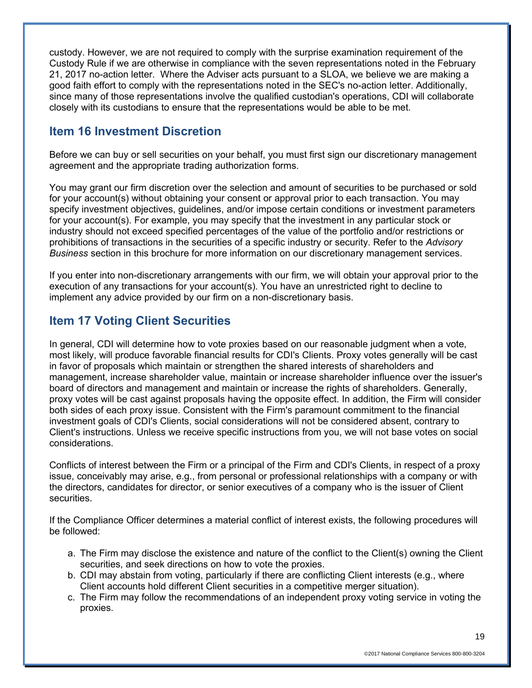custody. However, we are not required to comply with the surprise examination requirement of the Custody Rule if we are otherwise in compliance with the seven representations noted in the February 21, 2017 no-action letter. Where the Adviser acts pursuant to a SLOA, we believe we are making a good faith effort to comply with the representations noted in the SEC's no-action letter. Additionally, since many of those representations involve the qualified custodian's operations, CDI will collaborate closely with its custodians to ensure that the representations would be able to be met.

# **Item 16 Investment Discretion**

Before we can buy or sell securities on your behalf, you must first sign our discretionary management agreement and the appropriate trading authorization forms.

You may grant our firm discretion over the selection and amount of securities to be purchased or sold for your account(s) without obtaining your consent or approval prior to each transaction. You may specify investment objectives, guidelines, and/or impose certain conditions or investment parameters for your account(s). For example, you may specify that the investment in any particular stock or industry should not exceed specified percentages of the value of the portfolio and/or restrictions or prohibitions of transactions in the securities of a specific industry or security. Refer to the *Advisory Business* section in this brochure for more information on our discretionary management services.

If you enter into non-discretionary arrangements with our firm, we will obtain your approval prior to the execution of any transactions for your account(s). You have an unrestricted right to decline to implement any advice provided by our firm on a non-discretionary basis.

# **Item 17 Voting Client Securities**

In general, CDI will determine how to vote proxies based on our reasonable judgment when a vote, most likely, will produce favorable financial results for CDI's Clients. Proxy votes generally will be cast in favor of proposals which maintain or strengthen the shared interests of shareholders and management, increase shareholder value, maintain or increase shareholder influence over the issuer's board of directors and management and maintain or increase the rights of shareholders. Generally, proxy votes will be cast against proposals having the opposite effect. In addition, the Firm will consider both sides of each proxy issue. Consistent with the Firm's paramount commitment to the financial investment goals of CDI's Clients, social considerations will not be considered absent, contrary to Client's instructions. Unless we receive specific instructions from you, we will not base votes on social considerations.

Conflicts of interest between the Firm or a principal of the Firm and CDI's Clients, in respect of a proxy issue, conceivably may arise, e.g., from personal or professional relationships with a company or with the directors, candidates for director, or senior executives of a company who is the issuer of Client securities.

If the Compliance Officer determines a material conflict of interest exists, the following procedures will be followed:

- a. The Firm may disclose the existence and nature of the conflict to the Client(s) owning the Client securities, and seek directions on how to vote the proxies.
- b. CDI may abstain from voting, particularly if there are conflicting Client interests (e.g., where Client accounts hold different Client securities in a competitive merger situation).
- c. The Firm may follow the recommendations of an independent proxy voting service in voting the proxies.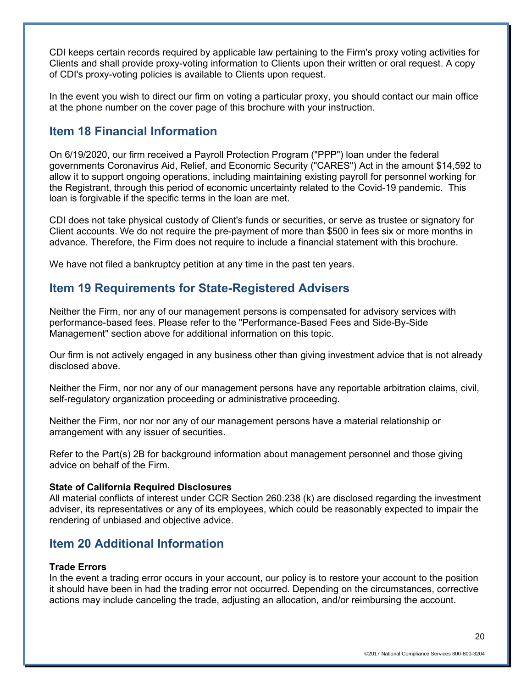CDI keeps certain records required by applicable law pertaining to the Firm's proxy voting activities for Clients and shall provide proxy-voting information to Clients upon their written or oral request. A copy of CDI's proxy-voting policies is available to Clients upon request.

In the event you wish to direct our firm on voting a particular proxy, you should contact our main office at the phone number on the cover page of this brochure with your instruction.

## **Item 18 Financial Information**

On 6/19/2020, our firm received a Payroll Protection Program ("PPP") loan under the federal governments Coronavirus Aid, Relief, and Economic Security ("CARES") Act in the amount \$14,592 to allow it to support ongoing operations, including maintaining existing payroll for personnel working for the Registrant, through this period of economic uncertainty related to the Covid-19 pandemic. This loan is forgivable if the specific terms in the loan are met.

CDI does not take physical custody of Client's funds or securities, or serve as trustee or signatory for Client accounts. We do not require the pre-payment of more than \$500 in fees six or more months in advance. Therefore, the Firm does not require to include a financial statement with this brochure.

We have not filed a bankruptcy petition at any time in the past ten years.

## **Item 19 Requirements for State-Registered Advisers**

Neither the Firm, nor any of our management persons is compensated for advisory services with performance-based fees. Please refer to the "Performance-Based Fees and Side-By-Side Management" section above for additional information on this topic.

Our firm is not actively engaged in any business other than giving investment advice that is not already disclosed above.

Neither the Firm, nor nor any of our management persons have any reportable arbitration claims, civil, self-regulatory organization proceeding or administrative proceeding.

Neither the Firm, nor nor nor any of our management persons have a material relationship or arrangement with any issuer of securities.

Refer to the Part(s) 2B for background information about management personnel and those giving advice on behalf of the Firm.

#### **State of California Required Disclosures**

All material conflicts of interest under CCR Section 260.238 (k) are disclosed regarding the investment adviser, its representatives or any of its employees, which could be reasonably expected to impair the rendering of unbiased and objective advice.

# **Item 20 Additional Information**

#### **Trade Errors**

In the event a trading error occurs in your account, our policy is to restore your account to the position it should have been in had the trading error not occurred. Depending on the circumstances, corrective actions may include canceling the trade, adjusting an allocation, and/or reimbursing the account.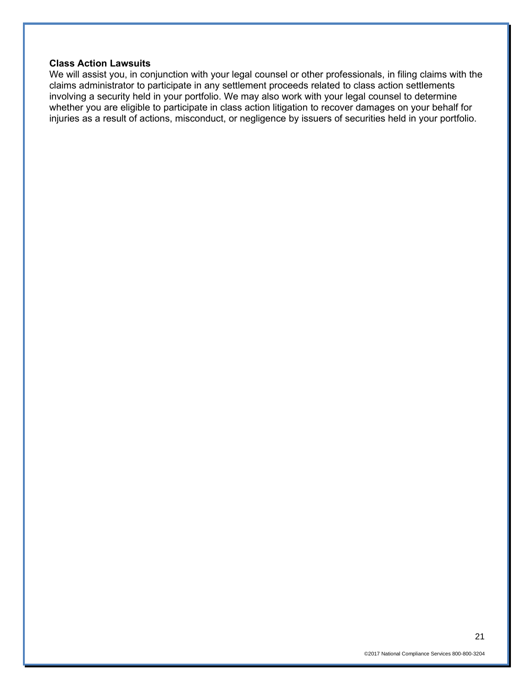### **Class Action Lawsuits**

We will assist you, in conjunction with your legal counsel or other professionals, in filing claims with the claims administrator to participate in any settlement proceeds related to class action settlements involving a security held in your portfolio. We may also work with your legal counsel to determine whether you are eligible to participate in class action litigation to recover damages on your behalf for injuries as a result of actions, misconduct, or negligence by issuers of securities held in your portfolio.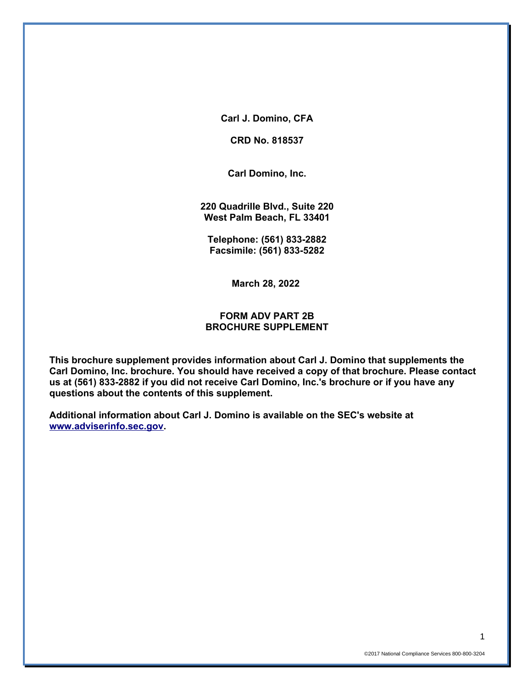**Carl J. Domino, CFA**

**CRD No. 818537**

**Carl Domino, Inc.**

**220 Quadrille Blvd., Suite 220 West Palm Beach, FL 33401**

**Telephone: (561) 833-2882 Facsimile: (561) 833-5282**

**March 28, 2022**

## **FORM ADV PART 2B BROCHURE SUPPLEMENT**

**This brochure supplement provides information about Carl J. Domino that supplements the Carl Domino, Inc. brochure. You should have received a copy of that brochure. Please contact us at (561) 833-2882 if you did not receive Carl Domino, Inc.'s brochure or if you have any questions about the contents of this supplement.**

**Additional information about Carl J. Domino is available on the SEC's website at [www.adviserinfo.sec.gov.](http://www.adviserinfo.sec.gov/)**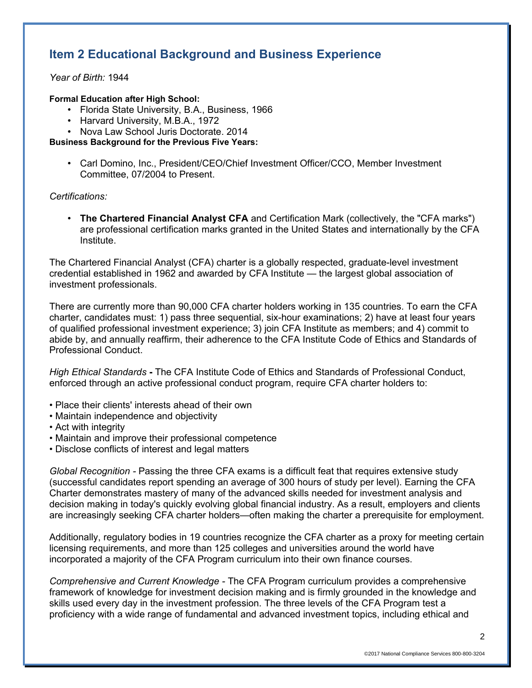# **Item 2 Educational Background and Business Experience**

*Year of Birth:* 1944

#### **Formal Education after High School:**

- Florida State University, B.A., Business, 1966
- Harvard University, M.B.A., 1972
- Nova Law School Juris Doctorate. 2014

**Business Background for the Previous Five Years:**

• Carl Domino, Inc., President/CEO/Chief Investment Officer/CCO, Member Investment Committee, 07/2004 to Present.

### *Certifications:*

• **The Chartered Financial Analyst CFA** and Certification Mark (collectively, the "CFA marks") are professional certification marks granted in the United States and internationally by the CFA Institute.

The Chartered Financial Analyst (CFA) charter is a globally respected, graduate-level investment credential established in 1962 and awarded by CFA Institute — the largest global association of investment professionals.

There are currently more than 90,000 CFA charter holders working in 135 countries. To earn the CFA charter, candidates must: 1) pass three sequential, six-hour examinations; 2) have at least four years of qualified professional investment experience; 3) join CFA Institute as members; and 4) commit to abide by, and annually reaffirm, their adherence to the CFA Institute Code of Ethics and Standards of Professional Conduct.

*High Ethical Standards* **-** The CFA Institute Code of Ethics and Standards of Professional Conduct, enforced through an active professional conduct program, require CFA charter holders to:

- Place their clients' interests ahead of their own
- Maintain independence and objectivity
- Act with integrity
- Maintain and improve their professional competence
- Disclose conflicts of interest and legal matters

*Global Recognition -* Passing the three CFA exams is a difficult feat that requires extensive study (successful candidates report spending an average of 300 hours of study per level). Earning the CFA Charter demonstrates mastery of many of the advanced skills needed for investment analysis and decision making in today's quickly evolving global financial industry. As a result, employers and clients are increasingly seeking CFA charter holders—often making the charter a prerequisite for employment.

Additionally, regulatory bodies in 19 countries recognize the CFA charter as a proxy for meeting certain licensing requirements, and more than 125 colleges and universities around the world have incorporated a majority of the CFA Program curriculum into their own finance courses.

*Comprehensive and Current Knowledge -* The CFA Program curriculum provides a comprehensive framework of knowledge for investment decision making and is firmly grounded in the knowledge and skills used every day in the investment profession. The three levels of the CFA Program test a proficiency with a wide range of fundamental and advanced investment topics, including ethical and